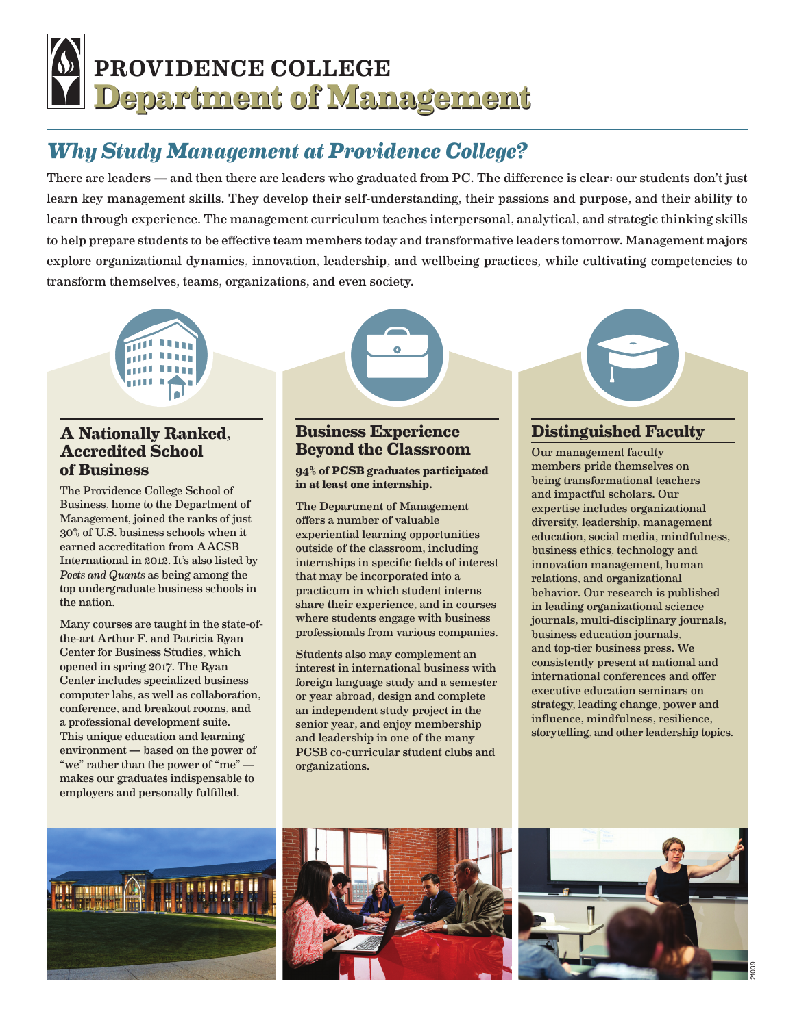# **Department of Management Department of Management** PROVIDENCE COLLEGE

## *Why Study Management at Providence College?*

There are leaders — and then there are leaders who graduated from PC. The difference is clear: our students don't just learn key management skills. They develop their self-understanding, their passions and purpose, and their ability to learn through experience. The management curriculum teaches interpersonal, analytical, and strategic thinking skills to help prepare students to be effective team members today and transformative leaders tomorrow. Management majors explore organizational dynamics, innovation, leadership, and wellbeing practices, while cultivating competencies to transform themselves, teams, organizations, and even society.



#### **A Nationally Ranked, Accredited School of Business**

The Providence College School of Business, home to the Department of Management, joined the ranks of just 30% of U.S. business schools when it earned accreditation from AACSB International in 2012. It's also listed by *Poets and Quants* as being among the top undergraduate business schools in the nation.

Many courses are taught in the state-ofthe-art Arthur F. and Patricia Ryan Center for Business Studies, which opened in spring 2017. The Ryan Center includes specialized business computer labs, as well as collaboration, conference, and breakout rooms, and a professional development suite. This unique education and learning environment — based on the power of "we" rather than the power of "me" makes our graduates indispensable to employers and personally fulfilled.



#### **94% of PCSB graduates participated in at least one internship.**

The Department of Management offers a number of valuable experiential learning opportunities outside of the classroom, including internships in specific fields of interest that may be incorporated into a practicum in which student interns share their experience, and in courses where students engage with business professionals from various companies.

Students also may complement an interest in international business with foreign language study and a semester or year abroad, design and complete an independent study project in the senior year, and enjoy membership and leadership in one of the many PCSB co-curricular student clubs and organizations.



#### **Distinguished Faculty**

Our management faculty members pride themselves on being transformational teachers and impactful scholars. Our expertise includes organizational diversity, leadership, management education, social media, mindfulness, business ethics, technology and innovation management, human relations, and organizational behavior. Our research is published in leading organizational science journals, multi-disciplinary journals, business education journals, and top-tier business press. We consistently present at national and international conferences and offer executive education seminars on strategy, leading change, power and influence, mindfulness, resilience, storytelling, and other leadership topics.